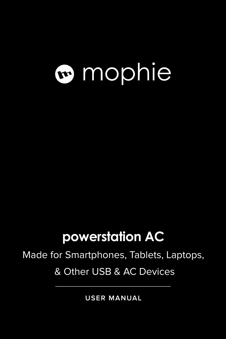# mophie

### **powerstation AC**

Made for Smartphones, Tablets, Laptops, & Other USB & AC Devices

**USER MANUAL**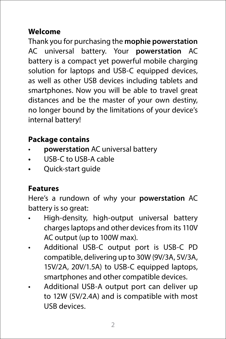#### **Welcome**

Thank you for purchasing the **mophie powerstation**  AC universal battery. Your **powerstation** AC battery is a compact yet powerful mobile charging solution for laptops and USB-C equipped devices, as well as other USB devices including tablets and smartphones. Now you will be able to travel great distances and be the master of your own destiny, no longer bound by the limitations of your device's internal battery!

#### **Package contains**

- **powerstation** AC universal battery
- **•** USB-C to USB-A cable
- **•** Quick-start guide

#### **Features**

Here's a rundown of why your **powerstation** AC battery is so great:

- High-density, high-output universal battery charges laptops and other devices from its 110V AC output (up to 100W max).
- Additional USB-C output port is USB-C PD compatible, delivering up to 30W (9V/3A, 5V/3A, 15V/2A, 20V/1.5A) to USB-C equipped laptops, smartphones and other compatible devices.
- Additional USB-A output port can deliver up to 12W (5V/2.4A) and is compatible with most USB devices.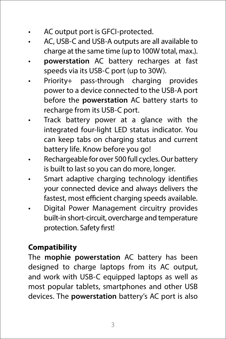- AC output port is GFCI-protected.
- AC, USB-C and USB-A outputs are all available to charge at the same time (up to 100W total, max.).
- **powerstation** AC battery recharges at fast speeds via its USB-C port (up to 30W).
- Priority+ pass-through charging provides power to a device connected to the USB-A port before the **powerstation** AC battery starts to recharge from its USB-C port.
- Track battery power at a glance with the integrated four-light LED status indicator. You can keep tabs on charging status and current battery life. Know before you go!
- Rechargeable for over 500 full cycles. Our battery is built to last so you can do more, longer.
- Smart adaptive charging technology identifies your connected device and always delivers the fastest, most efficient charging speeds available.
- Digital Power Management circuitry provides built-in short-circuit, overcharge and temperature protection. Safety first!

#### **Compatibility**

The **mophie powerstation** AC battery has been designed to charge laptops from its AC output, and work with USB-C equipped laptops as well as most popular tablets, smartphones and other USB devices. The **powerstation** battery's AC port is also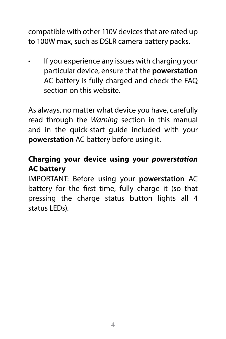compatible with other 110V devices that are rated up to 100W max, such as DSLR camera battery packs.

If you experience any issues with charging your particular device, ensure that the **powerstation**  AC battery is fully charged and check the FAQ section on this website.

As always, no matter what device you have, carefully read through the *Warning* section in this manual and in the quick-start guide included with your **powerstation** AC battery before using it.

#### **Charging your device using your** *powerstation*  **AC battery**

IMPORTANT: Before using your **powerstation** AC battery for the first time, fully charge it (so that pressing the charge status button lights all 4 status LEDs).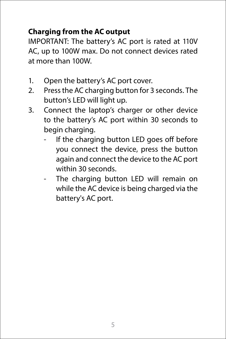#### **Charging from the AC output**

IMPORTANT: The battery's AC port is rated at 110V AC, up to 100W max. Do not connect devices rated at more than 100W.

- 1. Open the battery's AC port cover.
- 2. Press the AC charging button for 3 seconds. The button's LED will light up.
- 3. Connect the laptop's charger or other device to the battery's AC port within 30 seconds to begin charging.
	- If the charging button LED goes off before you connect the device, press the button again and connect the device to the AC port within 30 seconds.
	- The charging button LED will remain on while the AC device is being charged via the battery's AC port.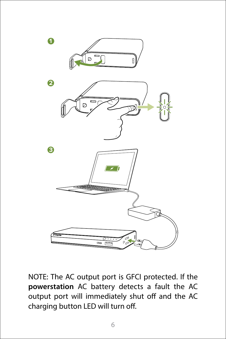

NOTE: The AC output port is GFCI protected. If the **powerstation** AC battery detects a fault the AC output port will immediately shut off and the AC charging button LED will turn off.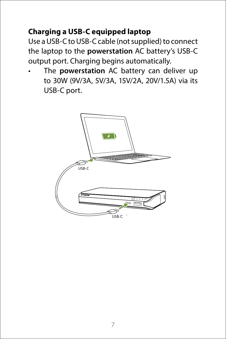#### **Charging a USB-C equipped laptop**

Use a USB-C to USB-C cable (not supplied) to connect the laptop to the **powerstation** AC battery's USB-C output port. Charging begins automatically.

• The **powerstation** AC battery can deliver up to 30W (9V/3A, 5V/3A, 15V/2A, 20V/1.5A) via its USB-C port.

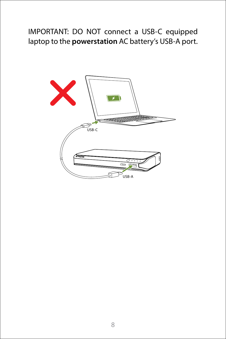#### IMPORTANT: DO NOT connect a USB-C equipped laptop to the **powerstation** AC battery's USB-A port.

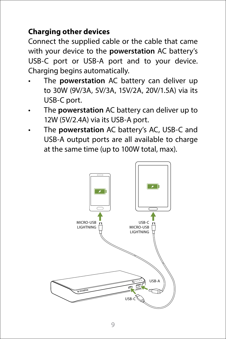#### **Charging other devices**

Connect the supplied cable or the cable that came with your device to the **powerstation** AC battery's USB-C port or USB-A port and to your device. Charging begins automatically.

- The **powerstation** AC battery can deliver up to 30W (9V/3A, 5V/3A, 15V/2A, 20V/1.5A) via its USB-C port.
- The **powerstation** AC battery can deliver up to 12W (5V/2.4A) via its USB-A port.
- The **powerstation** AC battery's AC, USB-C and USB-A output ports are all available to charge at the same time (up to 100W total, max).

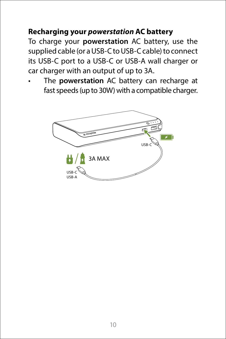#### **Recharging your** *powerstation* **AC battery**

To charge your **powerstation** AC battery, use the supplied cable (or a USB-C to USB-C cable) to connect its USB-C port to a USB-C or USB-A wall charger or car charger with an output of up to 3A.

• The **powerstation** AC battery can recharge at fast speeds (up to 30W) with a compatible charger.

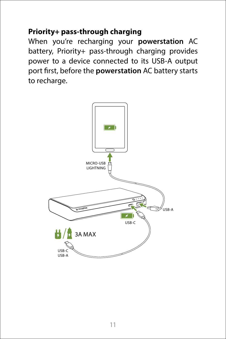#### **Priority+ pass-through charging**

When you're recharging your **powerstation** AC battery, Priority+ pass-through charging provides power to a device connected to its USB-A output port first, before the **powerstation** AC battery starts to recharge.

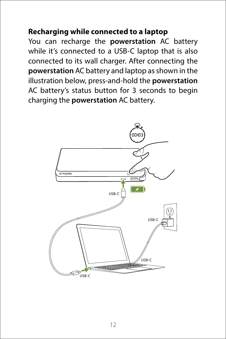#### **Recharging while connected to a laptop**

You can recharge the **powerstation** AC battery while it's connected to a USB-C laptop that is also connected to its wall charger. After connecting the **powerstation** AC battery and laptop as shown in the illustration below, press-and-hold the **powerstation**  AC battery's status button for 3 seconds to begin charging the **powerstation** AC battery.

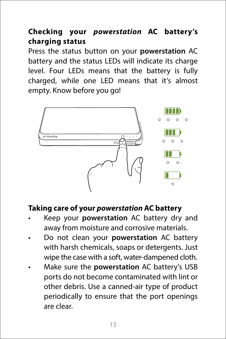#### **Checking your** *powerstation* **AC battery's charging status**

Press the status button on your **powerstation** AC battery and the status LEDs will indicate its charge level. Four LEDs means that the battery is fully charged, while one LED means that it's almost empty. Know before you go!



#### **Taking care of your** *powerstation* **AC battery**

- Keep your **powerstation** AC battery dry and away from moisture and corrosive materials.
- Do not clean your **powerstation** AC battery with harsh chemicals, soaps or detergents. Just wipe the case with a soft, water-dampened cloth.
- Make sure the **powerstation** AC battery's USB ports do not become contaminated with lint or other debris. Use a canned-air type of product periodically to ensure that the port openings are clear.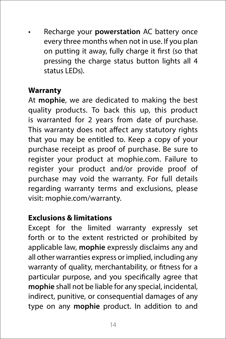• Recharge your **powerstation** AC battery once every three months when not in use. If you plan on putting it away, fully charge it first (so that pressing the charge status button lights all 4 status LEDs).

#### **Warranty**

At **mophie**, we are dedicated to making the best quality products. To back this up, this product is warranted for 2 years from date of purchase. This warranty does not affect any statutory rights that you may be entitled to. Keep a copy of your purchase receipt as proof of purchase. Be sure to register your product at mophie.com. Failure to register your product and/or provide proof of purchase may void the warranty. For full details regarding warranty terms and exclusions, please visit: mophie.com/warranty.

#### **Exclusions & limitations**

Except for the limited warranty expressly set forth or to the extent restricted or prohibited by applicable law, **mophie** expressly disclaims any and all other warranties express or implied, including any warranty of quality, merchantability, or fitness for a particular purpose, and you specifically agree that **mophie** shall not be liable for any special, incidental, indirect, punitive, or consequential damages of any type on any **mophie** product. In addition to and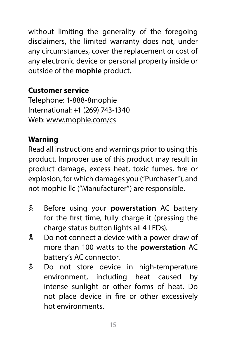without limiting the generality of the foregoing disclaimers, the limited warranty does not, under any circumstances, cover the replacement or cost of any electronic device or personal property inside or outside of the **mophie** product.

#### **Customer service**

Telephone: 1-888-8mophie International: +1 (269) 743-1340 Web: [www.mophie.com/cs](http://www.mophie.com/cs)

#### **Warning**

Read all instructions and warnings prior to using this product. Improper use of this product may result in product damage, excess heat, toxic fumes, fire or explosion, for which damages you ("Purchaser"), and not mophie llc ("Manufacturer") are responsible.

- **E** Before using your **powerstation** AC battery for the first time, fully charge it (pressing the charge status button lights all 4 LEDs).
- **2** Do not connect a device with a power draw of more than 100 watts to the **powerstation** AC battery's AC connector.
- N Do not store device in high-temperature environment, including heat caused by intense sunlight or other forms of heat. Do not place device in fire or other excessively hot environments.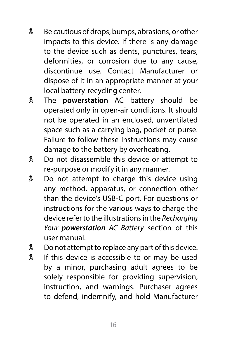- **E** Be cautious of drops, bumps, abrasions, or other impacts to this device. If there is any damage to the device such as dents, punctures, tears, deformities, or corrosion due to any cause, discontinue use. Contact Manufacturer or dispose of it in an appropriate manner at your local battery-recycling center.
- **W** The **powerstation** AC battery should be operated only in open-air conditions. It should not be operated in an enclosed, unventilated space such as a carrying bag, pocket or purse. Failure to follow these instructions may cause damage to the battery by overheating.
- **2** Do not disassemble this device or attempt to re-purpose or modify it in any manner.
- **Do not attempt to charge this device using** any method, apparatus, or connection other than the device's USB-C port. For questions or instructions for the various ways to charge the device refer to the illustrations in the *Recharging Your powerstation AC Battery* section of this user manual.
- $\frac{1}{2}$  Do not attempt to replace any part of this device.
- If this device is accessible to or may be used by a minor, purchasing adult agrees to be solely responsible for providing supervision, instruction, and warnings. Purchaser agrees to defend, indemnify, and hold Manufacturer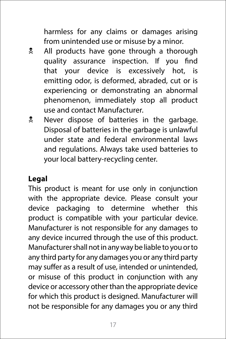harmless for any claims or damages arising from unintended use or misuse by a minor.

- **All products have gone through a thorough** quality assurance inspection. If you find that your device is excessively hot, is emitting odor, is deformed, abraded, cut or is experiencing or demonstrating an abnormal phenomenon, immediately stop all product use and contact Manufacturer.
- **E** Never dispose of batteries in the garbage. Disposal of batteries in the garbage is unlawful under state and federal environmental laws and regulations. Always take used batteries to your local battery-recycling center.

#### **Legal**

This product is meant for use only in conjunction with the appropriate device. Please consult your device packaging to determine whether this product is compatible with your particular device. Manufacturer is not responsible for any damages to any device incurred through the use of this product. Manufacturer shall not in any way be liable to you or to any third party for any damages you or any third party may suffer as a result of use, intended or unintended, or misuse of this product in conjunction with any device or accessory other than the appropriate device for which this product is designed. Manufacturer will not be responsible for any damages you or any third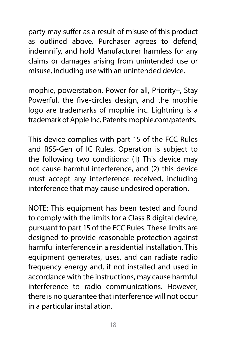party may suffer as a result of misuse of this product as outlined above. Purchaser agrees to defend, indemnify, and hold Manufacturer harmless for any claims or damages arising from unintended use or misuse, including use with an unintended device.

mophie, powerstation, Power for all, Priority+, Stay Powerful, the five-circles design, and the mophie logo are trademarks of mophie inc. Lightning is a trademark of Apple Inc. Patents: mophie.com/patents.

This device complies with part 15 of the FCC Rules and RSS-Gen of IC Rules. Operation is subject to the following two conditions: (1) This device may not cause harmful interference, and (2) this device must accept any interference received, including interference that may cause undesired operation.

NOTE: This equipment has been tested and found to comply with the limits for a Class B digital device, pursuant to part 15 of the FCC Rules. These limits are designed to provide reasonable protection against harmful interference in a residential installation. This equipment generates, uses, and can radiate radio frequency energy and, if not installed and used in accordance with the instructions, may cause harmful interference to radio communications. However, there is no guarantee that interference will not occur in a particular installation.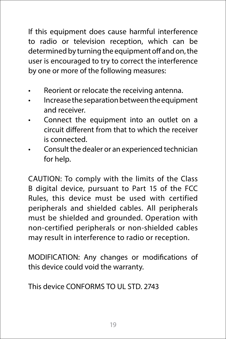If this equipment does cause harmful interference to radio or television reception, which can be determined by turning the equipment off and on, the user is encouraged to try to correct the interference by one or more of the following measures:

- Reorient or relocate the receiving antenna.
- Increase the separation between the equipment and receiver.
- Connect the equipment into an outlet on a circuit different from that to which the receiver is connected.
- Consult the dealer or an experienced technician for help.

CAUTION: To comply with the limits of the Class B digital device, pursuant to Part 15 of the FCC Rules, this device must be used with certified peripherals and shielded cables. All peripherals must be shielded and grounded. Operation with non-certified peripherals or non-shielded cables may result in interference to radio or reception.

MODIFICATION: Any changes or modifications of this device could void the warranty.

This device CONFORMS TO UL STD 2743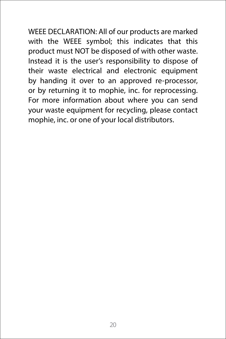WEEE DECLARATION: All of our products are marked with the WEEE symbol; this indicates that this product must NOT be disposed of with other waste. Instead it is the user's responsibility to dispose of their waste electrical and electronic equipment by handing it over to an approved re-processor, or by returning it to mophie, inc. for reprocessing. For more information about where you can send your waste equipment for recycling, please contact mophie, inc. or one of your local distributors.